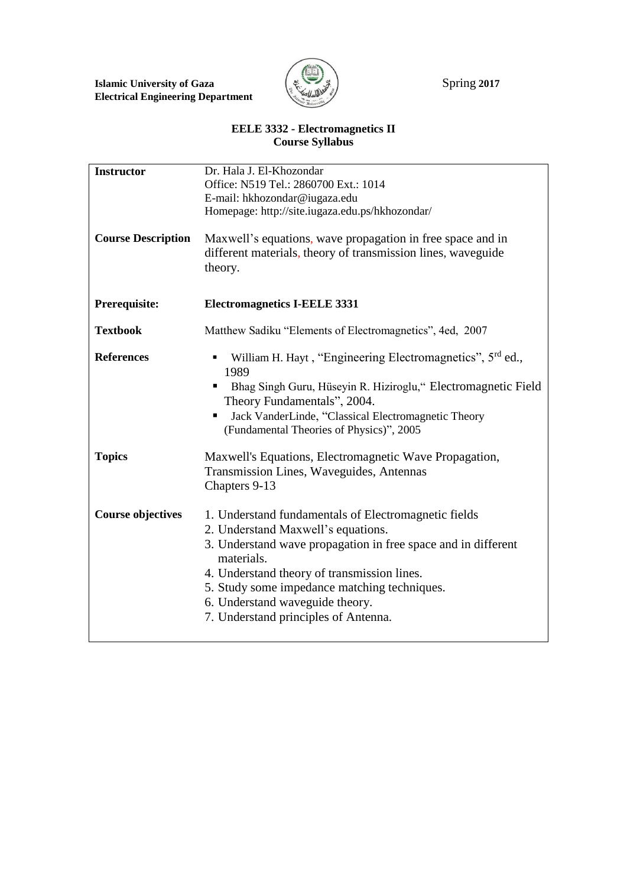

## **EELE 3332 - Electromagnetics II Course Syllabus**

| <b>Instructor</b>         | Dr. Hala J. El-Khozondar                                                                                                                                                                                                                                                                                                                            |
|---------------------------|-----------------------------------------------------------------------------------------------------------------------------------------------------------------------------------------------------------------------------------------------------------------------------------------------------------------------------------------------------|
|                           | Office: N519 Tel.: 2860700 Ext.: 1014                                                                                                                                                                                                                                                                                                               |
|                           | E-mail: hkhozondar@iugaza.edu                                                                                                                                                                                                                                                                                                                       |
|                           | Homepage: http://site.iugaza.edu.ps/hkhozondar/                                                                                                                                                                                                                                                                                                     |
| <b>Course Description</b> | Maxwell's equations, wave propagation in free space and in<br>different materials, theory of transmission lines, waveguide<br>theory.                                                                                                                                                                                                               |
| Prerequisite:             | <b>Electromagnetics I-EELE 3331</b>                                                                                                                                                                                                                                                                                                                 |
| <b>Textbook</b>           | Matthew Sadiku "Elements of Electromagnetics", 4ed, 2007                                                                                                                                                                                                                                                                                            |
| <b>References</b>         | William H. Hayt, "Engineering Electromagnetics", 5 <sup>rd</sup> ed.,<br>1989<br>Bhag Singh Guru, Hüseyin R. Hiziroglu," Electromagnetic Field<br>Theory Fundamentals", 2004.<br>Jack VanderLinde, "Classical Electromagnetic Theory<br>п<br>(Fundamental Theories of Physics)", 2005                                                               |
| <b>Topics</b>             | Maxwell's Equations, Electromagnetic Wave Propagation,<br>Transmission Lines, Waveguides, Antennas<br>Chapters 9-13                                                                                                                                                                                                                                 |
| <b>Course objectives</b>  | 1. Understand fundamentals of Electromagnetic fields<br>2. Understand Maxwell's equations.<br>3. Understand wave propagation in free space and in different<br>materials.<br>4. Understand theory of transmission lines.<br>5. Study some impedance matching techniques.<br>6. Understand waveguide theory.<br>7. Understand principles of Antenna. |